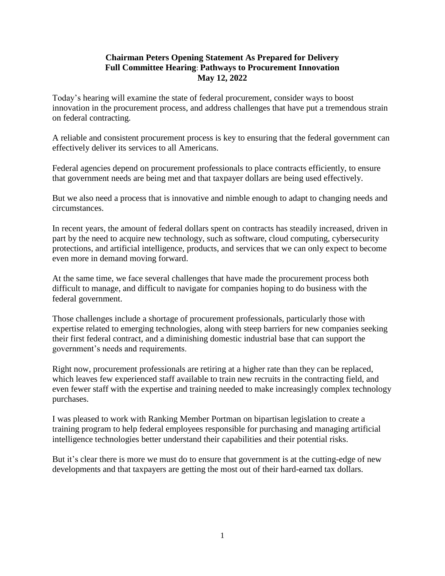## **Chairman Peters Opening Statement As Prepared for Delivery Full Committee Hearing**: **Pathways to Procurement Innovation May 12, 2022**

Today's hearing will examine the state of federal procurement, consider ways to boost innovation in the procurement process, and address challenges that have put a tremendous strain on federal contracting.

A reliable and consistent procurement process is key to ensuring that the federal government can effectively deliver its services to all Americans.

Federal agencies depend on procurement professionals to place contracts efficiently, to ensure that government needs are being met and that taxpayer dollars are being used effectively.

But we also need a process that is innovative and nimble enough to adapt to changing needs and circumstances.

In recent years, the amount of federal dollars spent on contracts has steadily increased, driven in part by the need to acquire new technology, such as software, cloud computing, cybersecurity protections, and artificial intelligence, products, and services that we can only expect to become even more in demand moving forward.

At the same time, we face several challenges that have made the procurement process both difficult to manage, and difficult to navigate for companies hoping to do business with the federal government.

Those challenges include a shortage of procurement professionals, particularly those with expertise related to emerging technologies, along with steep barriers for new companies seeking their first federal contract, and a diminishing domestic industrial base that can support the government's needs and requirements.

Right now, procurement professionals are retiring at a higher rate than they can be replaced, which leaves few experienced staff available to train new recruits in the contracting field, and even fewer staff with the expertise and training needed to make increasingly complex technology purchases.

I was pleased to work with Ranking Member Portman on bipartisan legislation to create a training program to help federal employees responsible for purchasing and managing artificial intelligence technologies better understand their capabilities and their potential risks.

But it's clear there is more we must do to ensure that government is at the cutting-edge of new developments and that taxpayers are getting the most out of their hard-earned tax dollars.